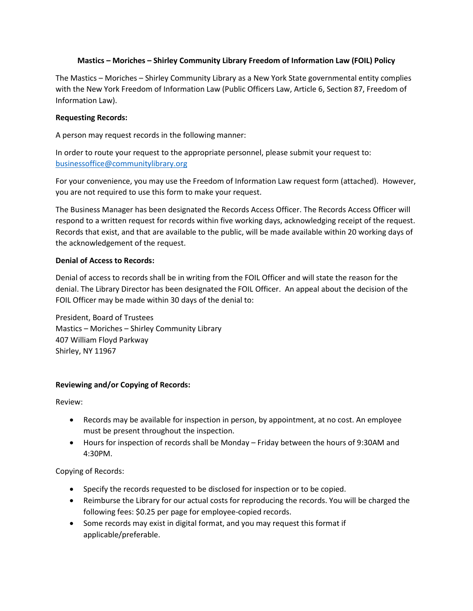## **Mastics – Moriches – Shirley Community Library Freedom of Information Law (FOIL) Policy**

The Mastics – Moriches – Shirley Community Library as a New York State governmental entity complies with the New York Freedom of Information Law (Public Officers Law, Article 6, Section 87, Freedom of Information Law).

## **Requesting Records:**

A person may request records in the following manner:

In order to route your request to the appropriate personnel, please submit your request to: [businessoffice@communitylibrary.org](mailto:businessoffice@communitylibrary.org)

For your convenience, you may use the Freedom of Information Law request form (attached). However, you are not required to use this form to make your request.

The Business Manager has been designated the Records Access Officer. The Records Access Officer will respond to a written request for records within five working days, acknowledging receipt of the request. Records that exist, and that are available to the public, will be made available within 20 working days of the acknowledgement of the request.

## **Denial of Access to Records:**

Denial of access to records shall be in writing from the FOIL Officer and will state the reason for the denial. The Library Director has been designated the FOIL Officer. An appeal about the decision of the FOIL Officer may be made within 30 days of the denial to:

President, Board of Trustees Mastics – Moriches – Shirley Community Library 407 William Floyd Parkway Shirley, NY 11967

## **Reviewing and/or Copying of Records:**

Review:

- Records may be available for inspection in person, by appointment, at no cost. An employee must be present throughout the inspection.
- Hours for inspection of records shall be Monday Friday between the hours of 9:30AM and 4:30PM.

Copying of Records:

- Specify the records requested to be disclosed for inspection or to be copied.
- Reimburse the Library for our actual costs for reproducing the records. You will be charged the following fees: \$0.25 per page for employee-copied records.
- Some records may exist in digital format, and you may request this format if applicable/preferable.